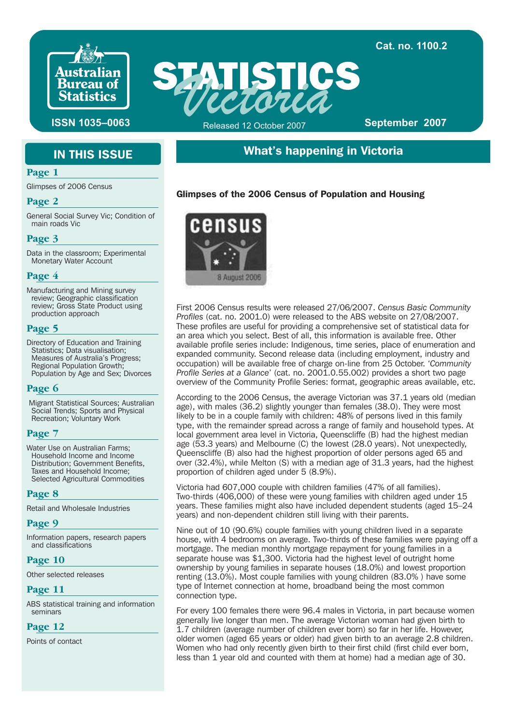

**Victoria ISSN 1035-0063** Released 12 October 2007 **September 2007** Released 12 October 2007

**Cat. no. 1100.2**

# IN THIS ISSUE

#### **Page 1**

Glimpses of 2006 Census

#### **Page 2**

General Social Survey Vic; Condition of main roads Vic

#### **Page 3**

Data in the classroom; Experimental Monetary Water Account

#### **Page 4**

Manufacturing and Mining survey review; Geographic classification review; Gross State Product using production approach

#### **Page 5**

Directory of Education and Training Statistics; Data visualisation; Measures of Australia's Progress; Regional Population Growth; Population by Age and Sex; Divorces

#### **Page 6**

Migrant Statistical Sources; Australian Social Trends; Sports and Physical Recreation; Voluntary Work

### **Page 7**

Water Use on Australian Farms; Household Income and Income Distribution; Government Benefits, Taxes and Household Income; Selected Agricultural Commodities

#### **Page 8**

Retail and Wholesale Industries

#### **Page 9**

Information papers, research papers and classifications

#### **Page 10**

Other selected releases

### **Page 11**

ABS statistical training and information seminars

### **Page 12**

Points of contact

# What's happening in Victoria

## Glimpses of the 2006 Census of Population and Housing



First 2006 Census results were released 27/06/2007. *Census Basic Community Profiles* (cat. no. 2001.0) were released to the ABS website on 27/08/2007. These profiles are useful for providing a comprehensive set of statistical data for an area which you select. Best of all, this information is available free. Other available profile series include: Indigenous, time series, place of enumeration and expanded community. Second release data (including employment, industry and occupation) will be available free of charge on-line from 25 October. '*Community Profile Series at a Glance*' (cat. no. 2001.0.55.002) provides a short two page overview of the Community Profile Series: format, geographic areas available, etc.

According to the 2006 Census, the average Victorian was 37.1 years old (median age), with males (36.2) slightly younger than females (38.0). They were most likely to be in a couple family with children: 48% of persons lived in this family type, with the remainder spread across a range of family and household types. At local government area level in Victoria, Queenscliffe (B) had the highest median age (53.3 years) and Melbourne (C) the lowest (28.0 years). Not unexpectedly, Queenscliffe (B) also had the highest proportion of older persons aged 65 and over (32.4%), while Melton (S) with a median age of 31.3 years, had the highest proportion of children aged under 5 (8.9%).

Victoria had 607,000 couple with children families (47% of all families). Two-thirds (406,000) of these were young families with children aged under 15 years. These families might also have included dependent students (aged 15–24 years) and non-dependent children still living with their parents.

Nine out of 10 (90.6%) couple families with young children lived in a separate house, with 4 bedrooms on average. Two-thirds of these families were paying off a mortgage. The median monthly mortgage repayment for young families in a separate house was \$1,300. Victoria had the highest level of outright home ownership by young families in separate houses (18.0%) and lowest proportion renting (13.0%). Most couple families with young children (83.0% ) have some type of Internet connection at home, broadband being the most common connection type.

For every 100 females there were 96.4 males in Victoria, in part because women generally live longer than men. The average Victorian woman had given birth to 1.7 children (average number of children ever born) so far in her life. However, older women (aged 65 years or older) had given birth to an average 2.8 children. Women who had only recently given birth to their first child (first child ever born, less than 1 year old and counted with them at home) had a median age of 30.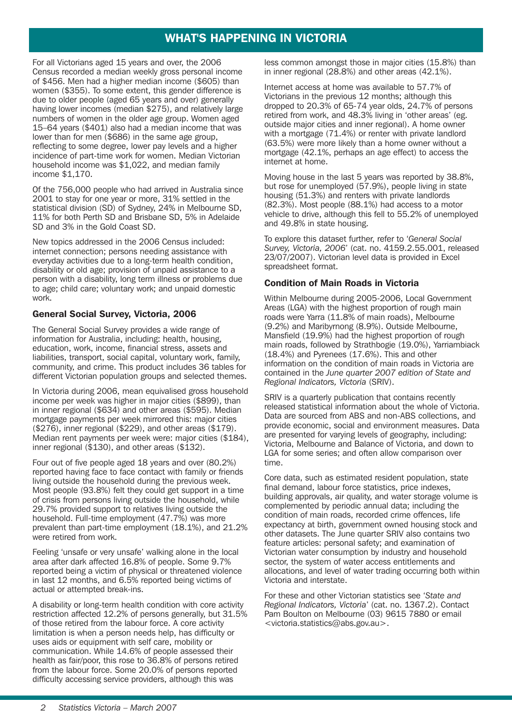# WHAT'S HAPPENING IN VICTORIA

For all Victorians aged 15 years and over, the 2006 Census recorded a median weekly gross personal income of \$456. Men had a higher median income (\$605) than women (\$355). To some extent, this gender difference is due to older people (aged 65 years and over) generally having lower incomes (median \$275), and relatively large numbers of women in the older age group. Women aged 15–64 years (\$401) also had a median income that was lower than for men (\$686) in the same age group, reflecting to some degree, lower pay levels and a higher incidence of part-time work for women. Median Victorian household income was \$1,022, and median family income \$1,170.

Of the 756,000 people who had arrived in Australia since 2001 to stay for one year or more, 31% settled in the statistical division (SD) of Sydney, 24% in Melbourne SD, 11% for both Perth SD and Brisbane SD, 5% in Adelaide SD and 3% in the Gold Coast SD.

New topics addressed in the 2006 Census included: internet connection; persons needing assistance with everyday activities due to a long-term health condition, disability or old age; provision of unpaid assistance to a person with a disability, long term illness or problems due to age; child care; voluntary work; and unpaid domestic work.

### General Social Survey, Victoria, 2006

The General Social Survey provides a wide range of information for Australia, including: health, housing, education, work, income, financial stress, assets and liabilities, transport, social capital, voluntary work, family, community, and crime. This product includes 36 tables for different Victorian population groups and selected themes.

In Victoria during 2006, mean equivalised gross household income per week was higher in major cities (\$899), than in inner regional (\$634) and other areas (\$595). Median mortgage payments per week mirrored this: major cities (\$276), inner regional (\$229), and other areas (\$179). Median rent payments per week were: major cities (\$184), inner regional (\$130), and other areas (\$132).

Four out of five people aged 18 years and over (80.2%) reported having face to face contact with family or friends living outside the household during the previous week. Most people (93.8%) felt they could get support in a time of crisis from persons living outside the household, while 29.7% provided support to relatives living outside the household. Full-time employment (47.7%) was more prevalent than part-time employment (18.1%), and 21.2% were retired from work.

Feeling 'unsafe or very unsafe' walking alone in the local area after dark affected 16.8% of people. Some 9.7% reported being a victim of physical or threatened violence in last 12 months, and 6.5% reported being victims of actual or attempted break-ins.

A disability or long-term health condition with core activity restriction affected 12.2% of persons generally, but 31.5% of those retired from the labour force. A core activity limitation is when a person needs help, has difficulty or uses aids or equipment with self care, mobility or communication. While 14.6% of people assessed their health as fair/poor, this rose to 36.8% of persons retired from the labour force. Some 20.0% of persons reported difficulty accessing service providers, although this was

less common amongst those in major cities (15.8%) than in inner regional (28.8%) and other areas (42.1%).

Internet access at home was available to 57.7% of Victorians in the previous 12 months; although this dropped to 20.3% of 65-74 year olds, 24.7% of persons retired from work, and 48.3% living in 'other areas' (eg. outside major cities and inner regional). A home owner with a mortgage (71.4%) or renter with private landlord (63.5%) were more likely than a home owner without a mortgage (42.1%, perhaps an age effect) to access the internet at home.

Moving house in the last 5 years was reported by 38.8%, but rose for unemployed (57.9%), people living in state housing (51.3%) and renters with private landlords (82.3%). Most people (88.1%) had access to a motor vehicle to drive, although this fell to 55.2% of unemployed and 49.8% in state housing.

To explore this dataset further, refer to '*General Social Survey, Victoria, 2006*' (cat. no. 4159.2.55.001, released 23/07/2007). Victorian level data is provided in Excel spreadsheet format.

### Condition of Main Roads in Victoria

Within Melbourne during 2005-2006, Local Government Areas (LGA) with the highest proportion of rough main roads were Yarra (11.8% of main roads), Melbourne (9.2%) and Maribyrnong (8.9%). Outside Melbourne, Mansfield (19.9%) had the highest proportion of rough main roads, followed by Strathbogie (19.0%), Yarriambiack (18.4%) and Pyrenees (17.6%). This and other information on the condition of main roads in Victoria are contained in the *June quarter 2007 edition of State and Regional Indicators, Victoria* (SRIV).

SRIV is a quarterly publication that contains recently released statistical information about the whole of Victoria. Data are sourced from ABS and non-ABS collections, and provide economic, social and environment measures. Data are presented for varying levels of geography, including: Victoria, Melbourne and Balance of Victoria, and down to LGA for some series; and often allow comparison over time.

Core data, such as estimated resident population, state final demand, labour force statistics, price indexes, building approvals, air quality, and water storage volume is complemented by periodic annual data; including the condition of main roads, recorded crime offences, life expectancy at birth, government owned housing stock and other datasets. The June quarter SRIV also contains two feature articles: personal safety; and examination of Victorian water consumption by industry and household sector, the system of water access entitlements and allocations, and level of water trading occurring both within Victoria and interstate.

For these and other Victorian statistics see '*State and Regional Indicators, Victoria*' (cat. no. 1367.2). Contact Pam Boulton on Melbourne (03) 9615 7880 or email <victoria.statistics@abs.gov.au>.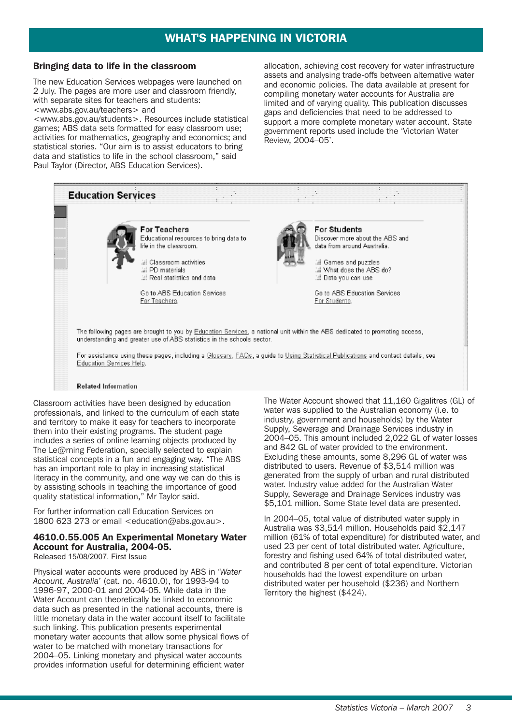# WHAT'S HAPPENING IN VICTORIA

#### Bringing data to life in the classroom

The new Education Services webpages were launched on 2 July. The pages are more user and classroom friendly, with separate sites for teachers and students: <www.abs.gov.au/teachers> and

<www.abs.gov.au/students>. Resources include statistical games; ABS data sets formatted for easy classroom use; activities for mathematics, geography and economics; and statistical stories. "Our aim is to assist educators to bring data and statistics to life in the school classroom," said Paul Taylor (Director, ABS Education Services).

allocation, achieving cost recovery for water infrastructure assets and analysing trade-offs between alternative water and economic policies. The data available at present for compiling monetary water accounts for Australia are limited and of varying quality. This publication discusses gaps and deficiencies that need to be addressed to support a more complete monetary water account. State government reports used include the 'Victorian Water Review, 2004–05'.



Classroom activities have been designed by education professionals, and linked to the curriculum of each state and territory to make it easy for teachers to incorporate them into their existing programs. The student page includes a series of online learning objects produced by The Le@rning Federation, specially selected to explain statistical concepts in a fun and engaging way. "The ABS has an important role to play in increasing statistical literacy in the community, and one way we can do this is by assisting schools in teaching the importance of good quality statistical information," Mr Taylor said.

For further information call Education Services on 1800 623 273 or email <education@abs.gov.au>.

## 4610.0.55.005 An Experimental Monetary Water Account for Australia, 2004-05.

Released 15/08/2007. First Issue

Physical water accounts were produced by ABS in '*Water Account, Australia*' (cat. no. 4610.0), for 1993-94 to 1996-97, 2000-01 and 2004-05. While data in the Water Account can theoretically be linked to economic data such as presented in the national accounts, there is little monetary data in the water account itself to facilitate such linking. This publication presents experimental monetary water accounts that allow some physical flows of water to be matched with monetary transactions for 2004–05. Linking monetary and physical water accounts provides information useful for determining efficient water

The Water Account showed that 11,160 Gigalitres (GL) of water was supplied to the Australian economy (i.e. to industry, government and households) by the Water Supply, Sewerage and Drainage Services industry in 2004–05. This amount included 2,022 GL of water losses and 842 GL of water provided to the environment. Excluding these amounts, some 8,296 GL of water was distributed to users. Revenue of \$3,514 million was generated from the supply of urban and rural distributed water. Industry value added for the Australian Water Supply, Sewerage and Drainage Services industry was \$5,101 million. Some State level data are presented.

In 2004–05, total value of distributed water supply in Australia was \$3,514 million. Households paid \$2,147 million (61% of total expenditure) for distributed water, and used 23 per cent of total distributed water. Agriculture, forestry and fishing used 64% of total distributed water, and contributed 8 per cent of total expenditure. Victorian households had the lowest expenditure on urban distributed water per household (\$236) and Northern Territory the highest (\$424).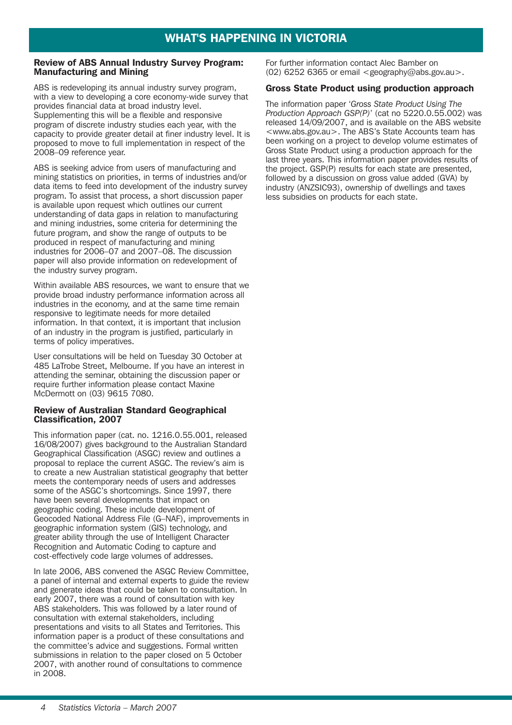### Review of ABS Annual Industry Survey Program: Manufacturing and Mining

ABS is redeveloping its annual industry survey program, with a view to developing a core economy-wide survey that provides financial data at broad industry level. Supplementing this will be a flexible and responsive program of discrete industry studies each year, with the capacity to provide greater detail at finer industry level. It is proposed to move to full implementation in respect of the 2008–09 reference year.

ABS is seeking advice from users of manufacturing and mining statistics on priorities, in terms of industries and/or data items to feed into development of the industry survey program. To assist that process, a short discussion paper is available upon request which outlines our current understanding of data gaps in relation to manufacturing and mining industries, some criteria for determining the future program, and show the range of outputs to be produced in respect of manufacturing and mining industries for 2006–07 and 2007–08. The discussion paper will also provide information on redevelopment of the industry survey program.

Within available ABS resources, we want to ensure that we provide broad industry performance information across all industries in the economy, and at the same time remain responsive to legitimate needs for more detailed information. In that context, it is important that inclusion of an industry in the program is justified, particularly in terms of policy imperatives.

User consultations will be held on Tuesday 30 October at 485 LaTrobe Street, Melbourne. If you have an interest in attending the seminar, obtaining the discussion paper or require further information please contact Maxine McDermott on (03) 9615 7080.

#### Review of Australian Standard Geographical Classification, 2007

This information paper (cat. no. 1216.0.55.001, released 16/08/2007) gives background to the Australian Standard Geographical Classification (ASGC) review and outlines a proposal to replace the current ASGC. The review's aim is to create a new Australian statistical geography that better meets the contemporary needs of users and addresses some of the ASGC's shortcomings. Since 1997, there have been several developments that impact on geographic coding. These include development of Geocoded National Address File (G–NAF), improvements in geographic information system (GIS) technology, and greater ability through the use of Intelligent Character Recognition and Automatic Coding to capture and cost-effectively code large volumes of addresses.

In late 2006, ABS convened the ASGC Review Committee, a panel of internal and external experts to guide the review and generate ideas that could be taken to consultation. In early 2007, there was a round of consultation with key ABS stakeholders. This was followed by a later round of consultation with external stakeholders, including presentations and visits to all States and Territories. This information paper is a product of these consultations and the committee's advice and suggestions. Formal written submissions in relation to the paper closed on 5 October 2007, with another round of consultations to commence in 2008.

For further information contact Alec Bamber on  $(02)$  6252 6365 or email <geography@abs.gov.au>.

### Gross State Product using production approach

The information paper '*Gross State Product Using The Production Approach GSP(P)*' (cat no 5220.0.55.002) was released 14/09/2007, and is available on the ABS website <www.abs.gov.au>. The ABS's State Accounts team has been working on a project to develop volume estimates of Gross State Product using a production approach for the last three years. This information paper provides results of the project. GSP(P) results for each state are presented, followed by a discussion on gross value added (GVA) by industry (ANZSIC93), ownership of dwellings and taxes less subsidies on products for each state.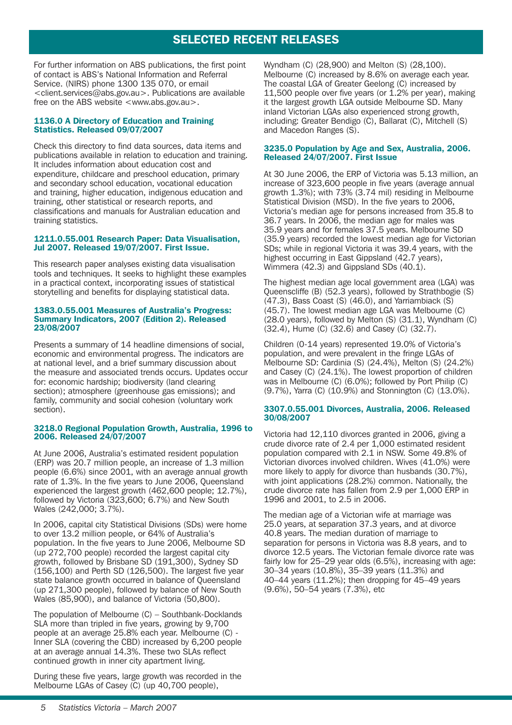# SELECTED RECENT RELEASES

For further information on ABS publications, the first point of contact is ABS's National Information and Referral Service. (NIRS) phone 1300 135 070, or email <client.services@abs.gov.au>. Publications are available free on the ABS website <www.abs.gov.au>.

#### 1136.0 A Directory of Education and Training Statistics. Released 09/07/2007

Check this directory to find data sources, data items and publications available in relation to education and training. It includes information about education cost and expenditure, childcare and preschool education, primary and secondary school education, vocational education and training, higher education, indigenous education and training, other statistical or research reports, and classifications and manuals for Australian education and training statistics.

#### 1211.0.55.001 Research Paper: Data Visualisation, Jul 2007. Released 19/07/2007. First Issue.

This research paper analyses existing data visualisation tools and techniques. It seeks to highlight these examples in a practical context, incorporating issues of statistical storytelling and benefits for displaying statistical data.

#### 1383.0.55.001 Measures of Australia's Progress: Summary Indicators, 2007 (Edition 2). Released 23/08/2007

Presents a summary of 14 headline dimensions of social, economic and environmental progress. The indicators are at national level, and a brief summary discussion about the measure and associated trends occurs. Updates occur for: economic hardship; biodiversity (land clearing section); atmosphere (greenhouse gas emissions); and family, community and social cohesion (voluntary work section).

#### 3218.0 Regional Population Growth, Australia, 1996 to 2006. Released 24/07/2007

At June 2006, Australia's estimated resident population (ERP) was 20.7 million people, an increase of 1.3 million people (6.6%) since 2001, with an average annual growth rate of 1.3%. In the five years to June 2006, Queensland experienced the largest growth (462,600 people; 12.7%), followed by Victoria (323,600; 6.7%) and New South Wales (242,000; 3.7%).

In 2006, capital city Statistical Divisions (SDs) were home to over 13.2 million people, or 64% of Australia's population. In the five years to June 2006, Melbourne SD (up 272,700 people) recorded the largest capital city growth, followed by Brisbane SD (191,300), Sydney SD  $(156, 100)$  and Perth SD  $(126, 500)$ . The largest five year state balance growth occurred in balance of Queensland (up 271,300 people), followed by balance of New South Wales (85,900), and balance of Victoria (50,800).

The population of Melbourne (C) – Southbank-Docklands SLA more than tripled in five years, growing by 9,700 people at an average 25.8% each year. Melbourne (C) - Inner SLA (covering the CBD) increased by 6,200 people at an average annual 14.3%. These two SLAs reflect continued growth in inner city apartment living.

During these five years, large growth was recorded in the Melbourne LGAs of Casey (C) (up 40,700 people),

Wyndham (C) (28,900) and Melton (S) (28,100). Melbourne (C) increased by 8.6% on average each year. The coastal LGA of Greater Geelong (C) increased by 11,500 people over five years (or 1.2% per year), making it the largest growth LGA outside Melbourne SD. Many inland Victorian LGAs also experienced strong growth, including: Greater Bendigo (C), Ballarat (C), Mitchell (S) and Macedon Ranges (S).

#### 3235.0 Population by Age and Sex, Australia, 2006. Released 24/07/2007. First Issue

At 30 June 2006, the ERP of Victoria was 5.13 million, an increase of 323,600 people in five years (average annual growth 1.3%); with 73% (3.74 mil) residing in Melbourne Statistical Division (MSD). In the five years to 2006, Victoria's median age for persons increased from 35.8 to 36.7 years. In 2006, the median age for males was 35.9 years and for females 37.5 years. Melbourne SD (35.9 years) recorded the lowest median age for Victorian SDs; while in regional Victoria it was 39.4 years, with the highest occurring in East Gippsland (42.7 years), Wimmera (42.3) and Gippsland SDs (40.1).

The highest median age local government area (LGA) was Queenscliffe (B) (52.3 years), followed by Strathbogie (S) (47.3), Bass Coast (S) (46.0), and Yarriambiack (S) (45.7). The lowest median age LGA was Melbourne (C) (28.0 years), followed by Melton (S) (31.1), Wyndham (C) (32.4), Hume (C) (32.6) and Casey (C) (32.7).

Children (0-14 years) represented 19.0% of Victoria's population, and were prevalent in the fringe LGAs of Melbourne SD: Cardinia (S) (24.4%), Melton (S) (24.2%) and Casey (C) (24.1%). The lowest proportion of children was in Melbourne (C) (6.0%); followed by Port Philip (C) (9.7%), Yarra (C) (10.9%) and Stonnington (C) (13.0%).

#### 3307.0.55.001 Divorces, Australia, 2006. Released 30/08/2007

Victoria had 12,110 divorces granted in 2006, giving a crude divorce rate of 2.4 per 1,000 estimated resident population compared with 2.1 in NSW. Some 49.8% of Victorian divorces involved children. Wives (41.0%) were more likely to apply for divorce than husbands (30.7%), with joint applications (28.2%) common. Nationally, the crude divorce rate has fallen from 2.9 per 1,000 ERP in 1996 and 2001, to 2.5 in 2006.

The median age of a Victorian wife at marriage was 25.0 years, at separation 37.3 years, and at divorce 40.8 years. The median duration of marriage to separation for persons in Victoria was 8.8 years, and to divorce 12.5 years. The Victorian female divorce rate was fairly low for 25–29 year olds (6.5%), increasing with age: 30–34 years (10.8%), 35–39 years (11.3%) and 40–44 years (11.2%); then dropping for 45–49 years (9.6%), 50–54 years (7.3%), etc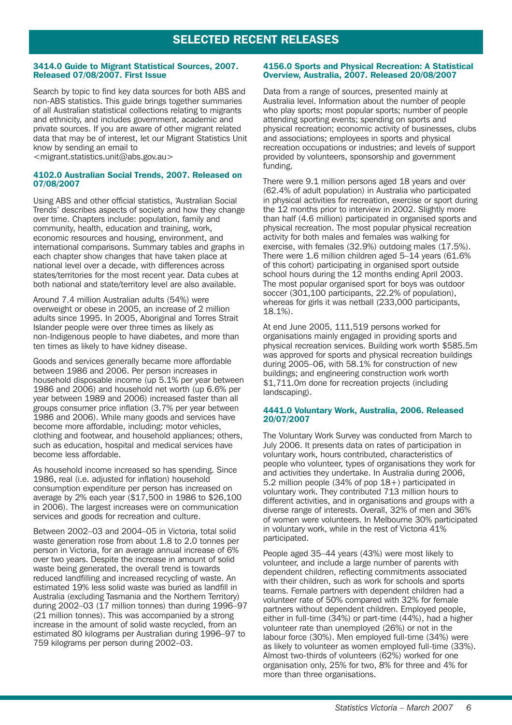# SELECTED RECENT RELEASES

#### 3414.0 Guide to Migrant Statistical Sources, 2007. Released 07/08/2007. First Issue

Search by topic to find key data sources for both ABS and non-ABS statistics. This guide brings together summaries of all Australian statistical collections relating to migrants and ethnicity, and includes government, academic and private sources. If you are aware of other migrant related data that may be of interest, let our Migrant Statistics Unit know by sending an email to

<migrant.statistics.unit@abs.gov.au>

#### 4102.0 Australian Social Trends, 2007. Released on 07/08/2007

Using ABS and other official statistics, 'Australian Social Trends' describes aspects of society and how they change over time. Chapters include: population, family and community, health, education and training, work, economic resources and housing, environment, and international comparisons. Summary tables and graphs in each chapter show changes that have taken place at national level over a decade, with differences across states/territories for the most recent year. Data cubes at both national and state/territory level are also available.

Around 7.4 million Australian adults (54%) were overweight or obese in 2005, an increase of 2 million adults since 1995. In 2005, Aboriginal and Torres Strait Islander people were over three times as likely as non-Indigenous people to have diabetes, and more than ten times as likely to have kidney disease.

Goods and services generally became more affordable between 1986 and 2006. Per person increases in household disposable income (up 5.1% per year between 1986 and 2006) and household net worth (up 6.6% per year between 1989 and 2006) increased faster than all groups consumer price inflation (3.7% per year between 1986 and 2006). While many goods and services have become more affordable, including: motor vehicles, clothing and footwear, and household appliances; others, such as education, hospital and medical services have become less affordable.

As household income increased so has spending. Since 1986, real (i.e. adjusted for inflation) household consumption expenditure per person has increased on average by 2% each year (\$17,500 in 1986 to \$26,100 in 2006). The largest increases were on communication services and goods for recreation and culture.

Between 2002–03 and 2004–05 in Victoria, total solid waste generation rose from about 1.8 to 2.0 tonnes per person in Victoria, for an average annual increase of 6% over two years. Despite the increase in amount of solid waste being generated, the overall trend is towards reduced landfilling and increased recycling of waste. An estimated 19% less solid waste was buried as landfill in Australia (excluding Tasmania and the Northern Territory) during 2002–03 (17 million tonnes) than during 1996–97 (21 million tonnes). This was accompanied by a strong increase in the amount of solid waste recycled, from an estimated 80 kilograms per Australian during 1996–97 to 759 kilograms per person during 2002–03.

#### 4156.0 Sports and Physical Recreation: A Statistical Overview, Australia, 2007. Released 20/08/2007

Data from a range of sources, presented mainly at Australia level. Information about the number of people who play sports; most popular sports; number of people attending sporting events; spending on sports and physical recreation; economic activity of businesses, clubs and associations; employees in sports and physical recreation occupations or industries; and levels of support provided by volunteers, sponsorship and government funding.

There were 9.1 million persons aged 18 years and over (62.4% of adult population) in Australia who participated in physical activities for recreation, exercise or sport during the 12 months prior to interview in 2002. Slightly more than half (4.6 million) participated in organised sports and physical recreation. The most popular physical recreation activity for both males and females was walking for exercise, with females (32.9%) outdoing males (17.5%). There were 1.6 million children aged 5–14 years (61.6% of this cohort) participating in organised sport outside school hours during the 12 months ending April 2003. The most popular organised sport for boys was outdoor soccer (301,100 participants, 22.2% of population), whereas for girls it was netball (233,000 participants, 18.1%).

At end June 2005, 111,519 persons worked for organisations mainly engaged in providing sports and physical recreation services. Building work worth \$585.5m was approved for sports and physical recreation buildings during 2005–06, with 58.1% for construction of new buildings; and engineering construction work worth \$1,711.0m done for recreation projects (including landscaping).

#### 4441.0 Voluntary Work, Australia, 2006. Released 20/07/2007

The Voluntary Work Survey was conducted from March to July 2006. It presents data on rates of participation in voluntary work, hours contributed, characteristics of people who volunteer, types of organisations they work for and activities they undertake. In Australia during 2006, 5.2 million people (34% of pop 18+) participated in voluntary work. They contributed 713 million hours to different activities, and in organisations and groups with a diverse range of interests. Overall, 32% of men and 36% of women were volunteers. In Melbourne 30% participated in voluntary work, while in the rest of Victoria 41% participated.

People aged 35–44 years (43%) were most likely to volunteer, and include a large number of parents with dependent children, reflecting commitments associated with their children, such as work for schools and sports teams. Female partners with dependent children had a volunteer rate of 50% compared with 32% for female partners without dependent children. Employed people, either in full-time (34%) or part-time (44%), had a higher volunteer rate than unemployed (26%) or not in the labour force (30%). Men employed full-time (34%) were as likely to volunteer as women employed full-time (33%). Almost two-thirds of volunteers (62%) worked for one organisation only, 25% for two, 8% for three and 4% for more than three organisations.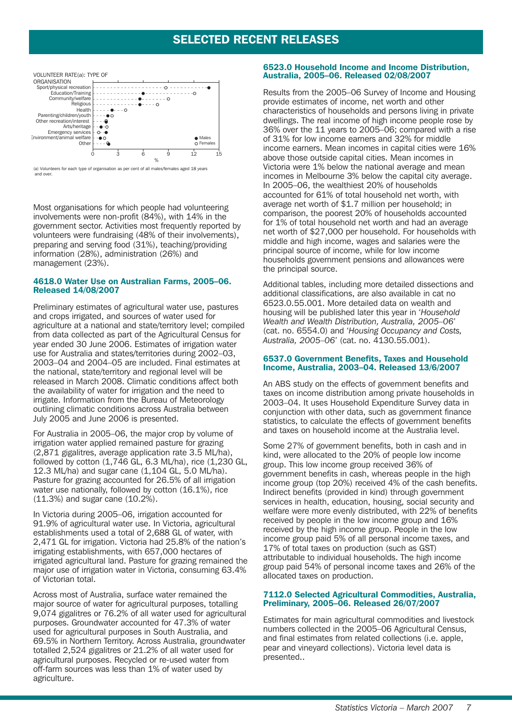## SELECTED RECENT RELEASES



(a) Volunteers for each type of organisation as per cent of all males/females aged 18 years and over.

Most organisations for which people had volunteering involvements were non-profit (84%), with 14% in the government sector. Activities most frequently reported by volunteers were fundraising (48% of their involvements), preparing and serving food (31%), teaching/providing information (28%), administration (26%) and management (23%).

#### 4618.0 Water Use on Australian Farms, 2005–06. Released 14/08/2007

Preliminary estimates of agricultural water use, pastures and crops irrigated, and sources of water used for agriculture at a national and state/territory level; compiled from data collected as part of the Agricultural Census for year ended 30 June 2006. Estimates of irrigation water use for Australia and states/territories during 2002–03, 2003–04 and 2004–05 are included. Final estimates at the national, state/territory and regional level will be released in March 2008. Climatic conditions affect both the availability of water for irrigation and the need to irrigate. Information from the Bureau of Meteorology outlining climatic conditions across Australia between July 2005 and June 2006 is presented.

For Australia in 2005–06, the major crop by volume of irrigation water applied remained pasture for grazing (2,871 gigalitres, average application rate 3.5 ML/ha), followed by cotton  $(1,7\bar{4}6$  GL, 6.3 ML/ha), rice  $(1,230$  GL, 12.3 ML/ha) and sugar cane (1,104 GL, 5.0 ML/ha). Pasture for grazing accounted for 26.5% of all irrigation water use nationally, followed by cotton (16.1%), rice (11.3%) and sugar cane (10.2%).

In Victoria during 2005–06, irrigation accounted for 91.9% of agricultural water use. In Victoria, agricultural establishments used a total of 2,688 GL of water, with 2,471 GL for irrigation. Victoria had 25.8% of the nation's irrigating establishments, with 657,000 hectares of irrigated agricultural land. Pasture for grazing remained the major use of irrigation water in Victoria, consuming 63.4% of Victorian total.

Across most of Australia, surface water remained the major source of water for agricultural purposes, totalling 9,074 gigalitres or 76.2% of all water used for agricultural purposes. Groundwater accounted for 47.3% of water used for agricultural purposes in South Australia, and 69.5% in Northern Territory. Across Australia, groundwater totalled 2,524 gigalitres or 21.2% of all water used for agricultural purposes. Recycled or re-used water from off-farm sources was less than 1% of water used by agriculture.

#### 6523.0 Household Income and Income Distribution, Australia, 2005–06. Released 02/08/2007

Results from the 2005–06 Survey of Income and Housing provide estimates of income, net worth and other characteristics of households and persons living in private dwellings. The real income of high income people rose by 36% over the 11 years to 2005–06; compared with a rise of 31% for low income earners and 32% for middle income earners. Mean incomes in capital cities were 16% above those outside capital cities. Mean incomes in Victoria were 1% below the national average and mean incomes in Melbourne 3% below the capital city average. In 2005–06, the wealthiest 20% of households accounted for 61% of total household net worth, with average net worth of \$1.7 million per household; in comparison, the poorest 20% of households accounted for 1% of total household net worth and had an average net worth of \$27,000 per household. For households with middle and high income, wages and salaries were the principal source of income, while for low income households government pensions and allowances were the principal source.

Additional tables, including more detailed dissections and additional classifications, are also available in cat no 6523.0.55.001. More detailed data on wealth and housing will be published later this year in '*Household Wealth and Wealth Distribution, Australia, 2005–06*' (cat. no. 6554.0) and '*Housing Occupancy and Costs, Australia, 2005–06*' (cat. no. 4130.55.001).

#### 6537.0 Government Benefits, Taxes and Household Income, Australia, 2003–04. Released 13/6/2007

An ABS study on the effects of government benefits and taxes on income distribution among private households in 2003–04. It uses Household Expenditure Survey data in conjunction with other data, such as government finance statistics, to calculate the effects of government benefits and taxes on household income at the Australia level.

Some 27% of government benefits, both in cash and in kind, were allocated to the 20% of people low income group. This low income group received 36% of government benefits in cash, whereas people in the high income group (top 20%) received 4% of the cash benefits. Indirect benefits (provided in kind) through government services in health, education, housing, social security and welfare were more evenly distributed, with 22% of benefits received by people in the low income group and 16% received by the high income group. People in the low income group paid 5% of all personal income taxes, and 17% of total taxes on production (such as GST) attributable to individual households. The high income group paid 54% of personal income taxes and 26% of the allocated taxes on production.

#### 7112.0 Selected Agricultural Commodities, Australia, Preliminary, 2005–06. Released 26/07/2007

Estimates for main agricultural commodities and livestock numbers collected in the 2005–06 Agricultural Census, and final estimates from related collections (i.e. apple, pear and vineyard collections). Victoria level data is presented..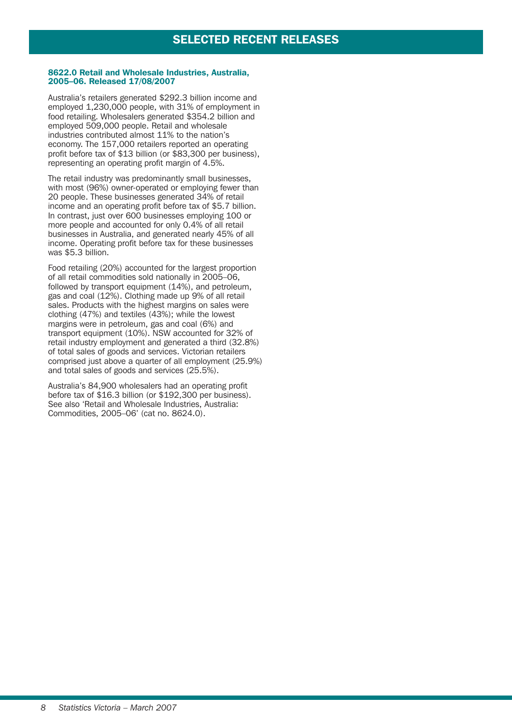#### 8622.0 Retail and Wholesale Industries, Australia, 2005–06. Released 17/08/2007

Australia's retailers generated \$292.3 billion income and employed 1,230,000 people, with 31% of employment in food retailing. Wholesalers generated \$354.2 billion and employed 509,000 people. Retail and wholesale industries contributed almost 11% to the nation's economy. The 157,000 retailers reported an operating profit before tax of \$13 billion (or \$83,300 per business), representing an operating profit margin of 4.5%.

The retail industry was predominantly small businesses, with most (96%) owner-operated or employing fewer than 20 people. These businesses generated 34% of retail income and an operating profit before tax of \$5.7 billion. In contrast, just over 600 businesses employing 100 or more people and accounted for only 0.4% of all retail businesses in Australia, and generated nearly 45% of all income. Operating profit before tax for these businesses was \$5.3 billion.

Food retailing (20%) accounted for the largest proportion of all retail commodities sold nationally in 2005–06, followed by transport equipment (14%), and petroleum, gas and coal (12%). Clothing made up 9% of all retail sales. Products with the highest margins on sales were clothing  $(47%)$  and textiles  $(43%)$ ; while the lowest margins were in petroleum, gas and coal (6%) and transport equipment (10%). NSW accounted for 32% of retail industry employment and generated a third (32.8%) of total sales of goods and services. Victorian retailers comprised just above a quarter of all employment (25.9%) and total sales of goods and services (25.5%).

Australia's 84,900 wholesalers had an operating profit before tax of \$16.3 billion (or \$192,300 per business). See also 'Retail and Wholesale Industries, Australia: Commodities, 2005–06' (cat no. 8624.0).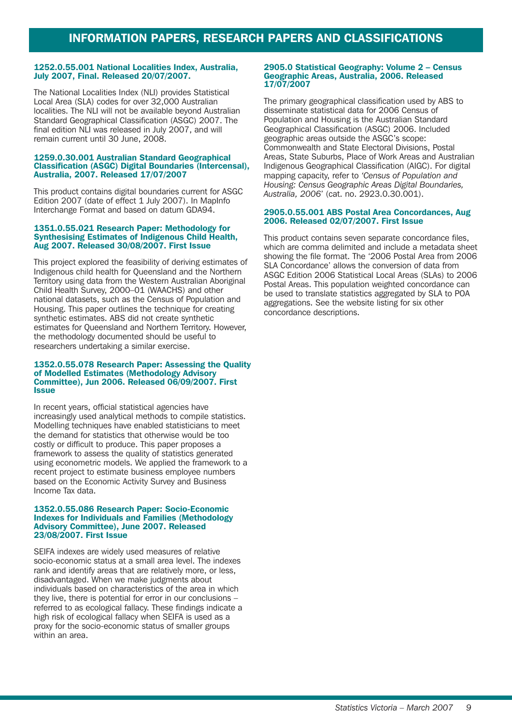#### 1252.0.55.001 National Localities Index, Australia, July 2007, Final. Released 20/07/2007.

The National Localities Index (NLI) provides Statistical Local Area (SLA) codes for over 32,000 Australian localities. The NLI will not be available beyond Australian Standard Geographical Classification (ASGC) 2007. The final edition NLI was released in July 2007, and will remain current until 30 June, 2008.

#### 1259.0.30.001 Australian Standard Geographical Classification (ASGC) Digital Boundaries (Intercensal), Australia, 2007. Released 17/07/2007

This product contains digital boundaries current for ASGC Edition 2007 (date of effect 1 July 2007). In MapInfo Interchange Format and based on datum GDA94.

#### 1351.0.55.021 Research Paper: Methodology for Synthesising Estimates of Indigenous Child Health, Aug 2007. Released 30/08/2007. First Issue

This project explored the feasibility of deriving estimates of Indigenous child health for Queensland and the Northern Territory using data from the Western Australian Aboriginal Child Health Survey, 2000–01 (WAACHS) and other national datasets, such as the Census of Population and Housing. This paper outlines the technique for creating synthetic estimates. ABS did not create synthetic estimates for Queensland and Northern Territory. However, the methodology documented should be useful to researchers undertaking a similar exercise.

#### 1352.0.55.078 Research Paper: Assessing the Quality of Modelled Estimates (Methodology Advisory Committee), Jun 2006. Released 06/09/2007. First Issue

In recent years, official statistical agencies have increasingly used analytical methods to compile statistics. Modelling techniques have enabled statisticians to meet the demand for statistics that otherwise would be too costly or difficult to produce. This paper proposes a framework to assess the quality of statistics generated using econometric models. We applied the framework to a recent project to estimate business employee numbers based on the Economic Activity Survey and Business Income Tax data.

#### 1352.0.55.086 Research Paper: Socio-Economic Indexes for Individuals and Families (Methodology Advisory Committee), June 2007. Released 23/08/2007. First Issue

SEIFA indexes are widely used measures of relative socio-economic status at a small area level. The indexes rank and identify areas that are relatively more, or less, disadvantaged. When we make judgments about individuals based on characteristics of the area in which they live, there is potential for error in our conclusions – referred to as ecological fallacy. These findings indicate a high risk of ecological fallacy when SEIFA is used as a proxy for the socio-economic status of smaller groups within an area.

#### 2905.0 Statistical Geography: Volume 2 – Census Geographic Areas, Australia, 2006. Released 17/07/2007

The primary geographical classification used by ABS to disseminate statistical data for 2006 Census of Population and Housing is the Australian Standard Geographical Classification (ASGC) 2006. Included geographic areas outside the ASGC's scope: Commonwealth and State Electoral Divisions, Postal Areas, State Suburbs, Place of Work Areas and Australian Indigenous Geographical Classification (AIGC). For digital mapping capacity, refer to *'Census of Population and Housing: Census Geographic Areas Digital Boundaries, Australia, 2006*' (cat. no. 2923.0.30.001).

#### 2905.0.55.001 ABS Postal Area Concordances, Aug 2006. Released 02/07/2007. First Issue

This product contains seven separate concordance files, which are comma delimited and include a metadata sheet showing the file format. The '2006 Postal Area from 2006 SLA Concordance' allows the conversion of data from ASGC Edition 2006 Statistical Local Areas (SLAs) to 2006 Postal Areas. This population weighted concordance can be used to translate statistics aggregated by SLA to POA aggregations. See the website listing for six other concordance descriptions.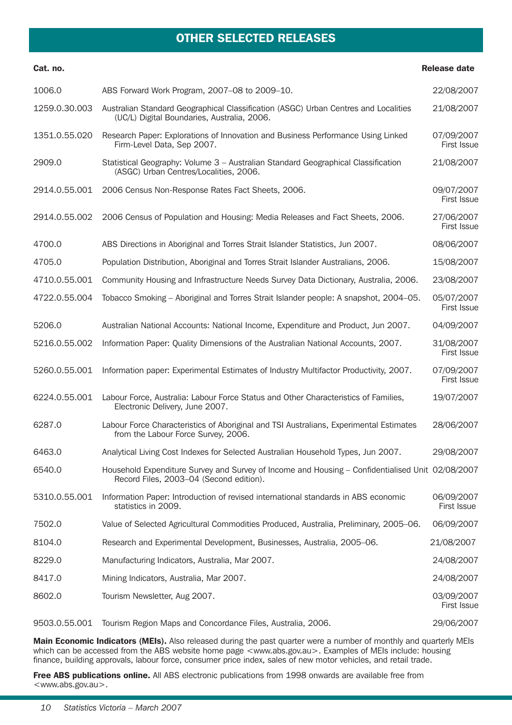# OTHER SELECTED RELEASES

| Cat. no.      |                                                                                                                                             | <b>Release date</b>              |
|---------------|---------------------------------------------------------------------------------------------------------------------------------------------|----------------------------------|
| 1006.0        | ABS Forward Work Program, 2007-08 to 2009-10.                                                                                               | 22/08/2007                       |
| 1259.0.30.003 | Australian Standard Geographical Classification (ASGC) Urban Centres and Localities<br>(UC/L) Digital Boundaries, Australia, 2006.          | 21/08/2007                       |
| 1351.0.55.020 | Research Paper: Explorations of Innovation and Business Performance Using Linked<br>Firm-Level Data, Sep 2007.                              | 07/09/2007<br><b>First Issue</b> |
| 2909.0        | Statistical Geography: Volume 3 - Australian Standard Geographical Classification<br>(ASGC) Urban Centres/Localities, 2006.                 | 21/08/2007                       |
| 2914.0.55.001 | 2006 Census Non-Response Rates Fact Sheets, 2006.                                                                                           | 09/07/2007<br><b>First Issue</b> |
| 2914.0.55.002 | 2006 Census of Population and Housing: Media Releases and Fact Sheets, 2006.                                                                | 27/06/2007<br>First Issue        |
| 4700.0        | ABS Directions in Aboriginal and Torres Strait Islander Statistics, Jun 2007.                                                               | 08/06/2007                       |
| 4705.0        | Population Distribution, Aboriginal and Torres Strait Islander Australians, 2006.                                                           | 15/08/2007                       |
| 4710.0.55.001 | Community Housing and Infrastructure Needs Survey Data Dictionary, Australia, 2006.                                                         | 23/08/2007                       |
| 4722.0.55.004 | Tobacco Smoking - Aboriginal and Torres Strait Islander people: A snapshot, 2004-05.                                                        | 05/07/2007<br><b>First Issue</b> |
| 5206.0        | Australian National Accounts: National Income, Expenditure and Product, Jun 2007.                                                           | 04/09/2007                       |
| 5216.0.55.002 | Information Paper: Quality Dimensions of the Australian National Accounts, 2007.                                                            | 31/08/2007<br><b>First Issue</b> |
| 5260.0.55.001 | Information paper: Experimental Estimates of Industry Multifactor Productivity, 2007.                                                       | 07/09/2007<br>First Issue        |
| 6224.0.55.001 | Labour Force, Australia: Labour Force Status and Other Characteristics of Families,<br>Electronic Delivery, June 2007.                      | 19/07/2007                       |
| 6287.0        | Labour Force Characteristics of Aboriginal and TSI Australians, Experimental Estimates<br>from the Labour Force Survey, 2006.               | 28/06/2007                       |
| 6463.0        | Analytical Living Cost Indexes for Selected Australian Household Types, Jun 2007.                                                           | 29/08/2007                       |
| 6540.0        | Household Expenditure Survey and Survey of Income and Housing - Confidentialised Unit 02/08/2007<br>Record Files, 2003-04 (Second edition). |                                  |
| 5310.0.55.001 | Information Paper: Introduction of revised international standards in ABS economic<br>statistics in 2009.                                   | 06/09/2007<br>First Issue        |
| 7502.0        | Value of Selected Agricultural Commodities Produced, Australia, Preliminary, 2005-06.                                                       | 06/09/2007                       |
| 8104.0        | Research and Experimental Development, Businesses, Australia, 2005-06.                                                                      | 21/08/2007                       |
| 8229.0        | Manufacturing Indicators, Australia, Mar 2007.                                                                                              | 24/08/2007                       |
| 8417.0        | Mining Indicators, Australia, Mar 2007.                                                                                                     | 24/08/2007                       |
| 8602.0        | Tourism Newsletter, Aug 2007.                                                                                                               | 03/09/2007<br>First Issue        |
| 9503.0.55.001 | Tourism Region Maps and Concordance Files, Australia, 2006.                                                                                 | 29/06/2007                       |

Main Economic Indicators (MEIs). Also released during the past quarter were a number of monthly and quarterly MEIs which can be accessed from the ABS website home page <www.abs.gov.au>. Examples of MEIs include: housing finance, building approvals, labour force, consumer price index, sales of new motor vehicles, and retail trade.

Free ABS publications online. All ABS electronic publications from 1998 onwards are available free from <www.abs.gov.au>.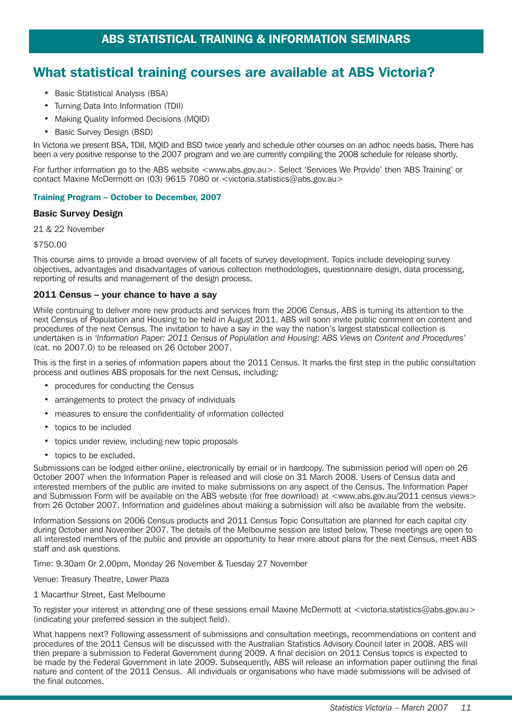# What statistical training courses are available at ABS Victoria?

- Basic Statistical Analysis (BSA)
- Turning Data Into Information (TDII)
- Making Quality Informed Decisions (MQID)
- Basic Survey Design (BSD)

In Victoria we present BSA, TDII, MQID and BSD twice yearly and schedule other courses on an adhoc needs basis. There has been a very positive response to the 2007 program and we are currently compiling the 2008 schedule for release shortly.

For further information go to the ABS website <www.abs.gov.au>. Select 'Services We Provide' then 'ABS Training' or contact Maxine McDermott on (03) 9615 7080 or <victoria.statistics@abs.gov.au>

#### Training Program – October to December, 2007

#### Basic Survey Design

21 & 22 November

\$750.00

This course aims to provide a broad overview of all facets of survey development. Topics include developing survey objectives, advantages and disadvantages of various collection methodologies, questionnaire design, data processing, reporting of results and management of the design process.

#### 2011 Census – your chance to have a say

While continuing to deliver more new products and services from the 2006 Census, ABS is turning its attention to the next Census of Population and Housing to be held in August 2011. ABS will soon invite public comment on content and procedures of the next Census. The invitation to have a say in the way the nation's largest statistical collection is undertaken is in *'Information Paper: 2011 Census of Population and Housing: ABS Views on Content and Procedures'* (cat. no 2007.0) to be released on 26 October 2007.

This is the first in a series of information papers about the 2011 Census. It marks the first step in the public consultation process and outlines ABS proposals for the next Census, including:

- procedures for conducting the Census
- arrangements to protect the privacy of individuals
- measures to ensure the confidentiality of information collected
- topics to be included
- topics under review, including new topic proposals
- topics to be excluded.

Submissions can be lodged either online, electronically by email or in hardcopy. The submission period will open on 26 October 2007 when the Information Paper is released and will close on 31 March 2008. Users of Census data and interested members of the public are invited to make submissions on any aspect of the Census. The Information Paper and Submission Form will be available on the ABS website (for free download) at <www.abs.gov.au/2011 census views> from 26 October 2007. Information and guidelines about making a submission will also be available from the website.

Information Sessions on 2006 Census products and 2011 Census Topic Consultation are planned for each capital city during October and November 2007. The details of the Melbourne session are listed below. These meetings are open to all interested members of the public and provide an opportunity to hear more about plans for the next Census, meet ABS staff and ask questions.

Time: 9.30am Or 2.00pm, Monday 26 November & Tuesday 27 November

Venue: Treasury Theatre, Lower Plaza

1 Macarthur Street, East Melbourne

To register your interest in attending one of these sessions email Maxine McDermott at <victoria.statistics@abs.gov.au> (indicating your preferred session in the subject field).

What happens next? Following assessment of submissions and consultation meetings, recommendations on content and procedures of the 2011 Census will be discussed with the Australian Statistics Advisory Council later in 2008. ABS will then prepare a submission to Federal Government during 2009. A final decision on 2011 Census topics is expected to be made by the Federal Government in late 2009. Subsequently, ABS will release an information paper outlining the final nature and content of the 2011 Census. All individuals or organisations who have made submissions will be advised of the final outcomes.